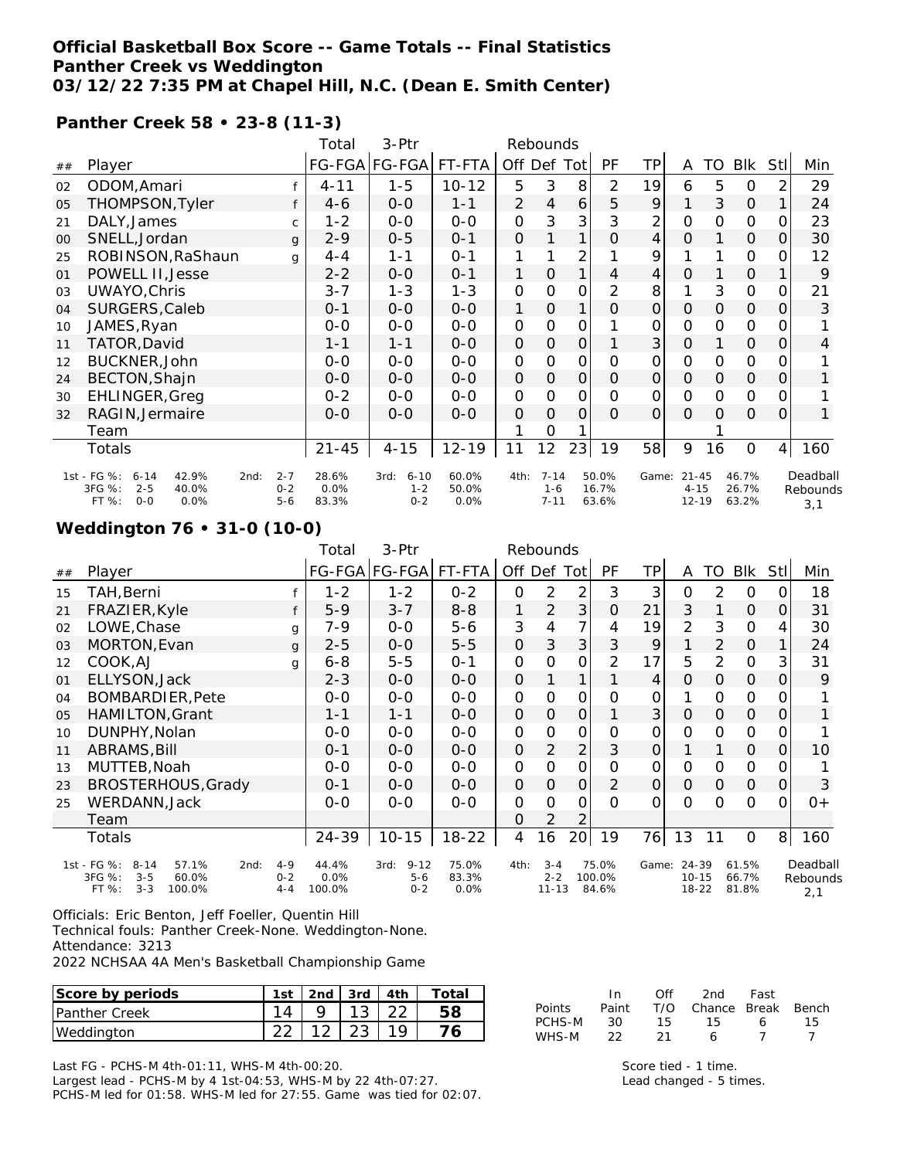# **Official Basketball Box Score -- Game Totals -- Final Statistics Panther Creek vs Weddington**

**03/12/22 7:35 PM at Chapel Hill, N.C. (Dean E. Smith Center)**

#### **Panther Creek 58 • 23-8 (11-3)**

|    |                                                                                                    |                               | Total                  | 3-Ptr                                  |                        |              | Rebounds                        |               |                         |                |                                    |          |                         |                |                             |
|----|----------------------------------------------------------------------------------------------------|-------------------------------|------------------------|----------------------------------------|------------------------|--------------|---------------------------------|---------------|-------------------------|----------------|------------------------------------|----------|-------------------------|----------------|-----------------------------|
| ## | Player                                                                                             |                               |                        | FG-FGA FG-FGA                          | FT-FTA                 | Off Def      |                                 | Tot           | PF                      | TP             | A                                  | TO       | Blk                     | <b>StI</b>     | Min                         |
| 02 | ODOM, Amari                                                                                        |                               | $4 - 11$               | $1 - 5$                                | $10 - 12$              | 5            | 3                               | 8             | 2                       | 19             | 6                                  | 5        | 0                       | 2              | 29                          |
| 05 | THOMPSON, Tyler                                                                                    | f                             | $4 - 6$                | $0-0$                                  | $1 - 1$                | 2            | 4                               | 6             | 5                       | 9              |                                    | 3        | $\mathcal{O}$           | 1              | 24                          |
| 21 | DALY, James                                                                                        | $\mathsf{C}$                  | $1 - 2$                | $0-0$                                  | $0 - 0$                | 0            | 3                               | 3             | 3                       | 2              | 0                                  | 0        | 0                       | 0              | 23                          |
| 00 | SNELL, Jordan                                                                                      | $\mathbf{q}$                  | $2 - 9$                | $0 - 5$                                | $0 - 1$                | $\mathbf 0$  |                                 | 1             | $\mathcal{O}$           | 4              | $\mathcal{O}$                      |          | $\mathcal{O}$           | 0              | 30                          |
| 25 | ROBINSON, RaShaun                                                                                  | g                             | $4 - 4$                | $1 - 1$                                | $0 - 1$                | 1            |                                 | 2             |                         | 9              |                                    |          | 0                       | 0              | 12                          |
| 01 | POWELL II, Jesse                                                                                   |                               | $2 - 2$                | $0 - 0$                                | $0 - 1$                | 1            | $\mathbf 0$                     | 1             | 4                       | 4              | O                                  |          | $\mathcal{O}$           |                | 9                           |
| 03 | UWAYO, Chris                                                                                       |                               | $3 - 7$                | $1 - 3$                                | $1 - 3$                | 0            | 0                               | 0             | $\overline{2}$          | 8              |                                    | 3        | $\mathbf 0$             | 0              | 21                          |
| 04 | SURGERS, Caleb                                                                                     |                               | $0 - 1$                | $0-0$                                  | $0-0$                  | 1            | $\mathsf{O}$                    | 1             | $\mathcal{O}$           | $\mathsf{O}$   | $\mathcal{O}$                      | $\Omega$ | $\mathcal{O}$           | 0              | 3                           |
| 10 | JAMES, Ryan                                                                                        |                               | $0 - 0$                | $O-O$                                  | $O-O$                  | 0            | 0                               | 0             |                         | 0              | O                                  | O        | 0                       | 0              |                             |
| 11 | TATOR, David                                                                                       |                               | $1 - 1$                | $1 - 1$                                | $0-0$                  | 0            | $\mathsf O$                     | $\mathbf 0$   |                         | 3              | 0                                  |          | 0                       | 0              | 4                           |
| 12 | BUCKNER, John                                                                                      |                               | $0 - 0$                | $0 - 0$                                | $0 - 0$                | $\mathsf{O}$ | 0                               | $\mathsf{O}$  | O                       | 0              | 0                                  | $\Omega$ | 0                       | O              |                             |
| 24 | BECTON, Shajn                                                                                      |                               | $0 - 0$                | $0 - 0$                                | $0-0$                  | $\mathbf 0$  | $\mathsf O$                     | $\mathcal{O}$ | $\Omega$                | $\mathsf{O}$   | $\Omega$                           | $\Omega$ | $\mathbf 0$             | 0              | 1                           |
| 30 | EHLINGER, Greg                                                                                     |                               | $0 - 2$                | $O-O$                                  | $0-0$                  | $\mathsf{O}$ | $\overline{O}$                  | $\mathsf{O}$  | O                       | $\overline{O}$ | $\overline{0}$                     | O        | $\overline{O}$          | $\Omega$       |                             |
| 32 | RAGIN, Jermaire                                                                                    |                               | $0 - 0$                | $0 - 0$                                | $0 - 0$                | O            | $\Omega$                        | $\Omega$      | $\Omega$                | $\mathcal{O}$  | O                                  | $\Omega$ | $\mathcal{O}$           | 0              | 1                           |
|    | Team                                                                                               |                               |                        |                                        |                        |              | 0                               |               |                         |                |                                    |          |                         |                |                             |
|    | Totals                                                                                             |                               | $21 - 45$              | $4 - 15$                               | $12 - 19$              | 11           | 12                              | 23            | 19                      | 58             | 9                                  | 16       | 0                       | 4 <sup>1</sup> | 160                         |
|    | 1st - FG %:<br>42.9%<br>2nd:<br>$6 - 14$<br>3FG %:<br>$2 - 5$<br>40.0%<br>FT %:<br>$O - O$<br>0.0% | $2 - 7$<br>$0 - 2$<br>$5 - 6$ | 28.6%<br>0.0%<br>83.3% | $6 - 10$<br>3rd:<br>$1 - 2$<br>$0 - 2$ | 60.0%<br>50.0%<br>0.0% | 4th:         | $7 - 14$<br>$1 - 6$<br>$7 - 11$ |               | 50.0%<br>16.7%<br>63.6% | Game:          | $21 - 45$<br>$4 - 15$<br>$12 - 19$ |          | 46.7%<br>26.7%<br>63.2% |                | Deadball<br>Rebounds<br>3,1 |

### **Weddington 76 • 31-0 (10-0)**

| 3-Ptr<br>Rebounds<br>Total |                                          |         |         |                  |           |                |                |                 |                |                |                     |               |                |                |              |
|----------------------------|------------------------------------------|---------|---------|------------------|-----------|----------------|----------------|-----------------|----------------|----------------|---------------------|---------------|----------------|----------------|--------------|
| ##                         | Player                                   |         |         | FG-FGA FG-FGA    | FT-FTA    |                |                | Off Def Tot     | <b>PF</b>      | <b>TP</b>      | A                   | TO            | <b>BIK</b>     | Stl            | Min          |
| 15                         | TAH,Berni                                |         | $1 - 2$ | $1 - 2$          | $0 - 2$   | 0              | 2              | 2               | 3              | 3              | 0                   | 2             | $\circ$        | O              | 18           |
| 21                         | FRAZIER, Kyle                            |         | $5-9$   | $3 - 7$          | $8 - 8$   | 1              | $\overline{2}$ | 3 <sup>1</sup>  | $\overline{O}$ | 21             | 3                   | 1             | $\mathcal{O}$  | $\overline{O}$ | 31           |
| 02                         | LOWE, Chase                              | g       | 7-9     | $0 - 0$          | $5 - 6$   | 3              | 4              | 7               | 4              | 19             | 2                   | 3             | 0              | 4              | 30           |
| 03                         | MORTON, Evan                             | g       | $2 - 5$ | $0 - 0$          | $5 - 5$   | 0              | 3              | 3               | 3              | 9              |                     | 2             | $\mathbf{O}$   |                | 24           |
| 12                         | COOK, AJ                                 | g       | $6 - 8$ | $5-5$            | $0 - 1$   | 0              | $\Omega$       | 0               | $\overline{2}$ | 17             | 5                   | 2             | $\overline{O}$ | 3              | 31           |
| 01                         | ELLYSON, Jack                            |         | $2 - 3$ | $0 - 0$          | $0 - 0$   | 0              |                | 1               |                | 4              | $\Omega$            | $\Omega$      | 0              | $\Omega$       | 9            |
| 04                         | <b>BOMBARDIER, Pete</b>                  |         | $O-O$   | $0 - 0$          | $0 - 0$   | $\mathbf 0$    | $\mathbf 0$    | 0               | $\Omega$       | 0              | 1                   | O             | $\mathsf{O}$   | 0              |              |
| 05                         | <b>HAMILTON, Grant</b>                   |         | $1 - 1$ | $1 - 1$          | $0-0$     | $\mathcal{O}$  | $\mathbf 0$    | $\mathcal{O}$   |                | 3              | $\mathsf{O}\xspace$ | $\mathcal{O}$ | $\mathcal{O}$  | $\overline{O}$ | $\mathbf{1}$ |
| 10                         | DUNPHY, Nolan                            |         | $0-0$   | $0 - 0$          | $0 - 0$   | $\mathbf 0$    | O              | 0               | $\Omega$       | 0              | O                   | O             | $\mathsf{O}$   | 0              |              |
| 11                         | ABRAMS, Bill                             |         | $0 - 1$ | $0 - 0$          | $0 - 0$   | 0              | 2              | $\overline{2}$  | 3              | $\overline{O}$ |                     |               | 0              | $\overline{O}$ | 10           |
| 13                         | MUTTEB, Noah                             |         | $0 - 0$ | $0 - 0$          | $0 - 0$   | 0              | $\Omega$       | 0               | $\Omega$       | 0              | $\Omega$            | $\Omega$      | 0              | 0              |              |
| 23                         | BROSTERHOUS, Grady                       |         | $0 - 1$ | $O-O$            | $0 - 0$   | $\Omega$       | $\Omega$       | 0               | 2              | 0              | $\mathcal{O}$       | $\mathcal{O}$ | $\mathcal{O}$  | $\overline{O}$ | 3            |
| 25                         | WERDANN, Jack                            |         | $O-O$   | $0 - 0$          | $0 - 0$   | $\overline{O}$ | $\Omega$       | 0               | $\Omega$       | $\Omega$       | $\Omega$            | O             | $\Omega$       | $\Omega$       | $0+$         |
|                            | Team                                     |         |         |                  |           | 0              | $\overline{2}$ | 2               |                |                |                     |               |                |                |              |
|                            | Totals                                   |         | 24-39   | $10 - 15$        | $18 - 22$ | 4              | 16             | 20 <sup>1</sup> | 19             | 76             | 13                  | 11            | 0              | 8 <sup>1</sup> | 160          |
|                            | 1st - FG %:<br>$8 - 14$<br>57.1%<br>2nd: | $4 - 9$ | 44.4%   | $9 - 12$<br>3rd: | 75.0%     | 4th:           | $3 - 4$        |                 | 75.0%          | Game:          | 24-39               |               | 61.5%          |                | Deadball     |
|                            | 3FG %:<br>$3 - 5$<br>60.0%               | $0 - 2$ | 0.0%    | $5 - 6$          | 83.3%     |                | $2 - 2$        |                 | 100.0%         |                | $10 - 15$           |               | 66.7%          |                | Rebounds     |
|                            | FT %:<br>$3 - 3$<br>100.0%               | $4 - 4$ | 100.0%  | $0 - 2$          | 0.0%      |                | $11 - 13$      |                 | 84.6%          |                | $18 - 22$           |               | 81.8%          |                | 2,1          |

Officials: Eric Benton, Jeff Foeller, Quentin Hill

Technical fouls: Panther Creek-None. Weddington-None.

Attendance: 3213

2022 NCHSAA 4A Men's Basketball Championship Game

| Score by periods     | lst           | 2nd    | 3rd            | 4th           | ota: |                 | In                | Of'         | 2nd    | Fast         |       |
|----------------------|---------------|--------|----------------|---------------|------|-----------------|-------------------|-------------|--------|--------------|-------|
| <b>Panther Creek</b> |               |        | $\sim$<br>ີ    | $\cap$<br>ے ے | 58   | Points          | Paint             | T/O         | Chance | <b>Break</b> | Bench |
| Weddington           | $\cap$<br>ے ے | $\sim$ | $\sim$<br>ت ہے | 1 Q           |      | PCHS-M<br>WHS-M | 30<br>$\sim$<br>∸ | $\sim$<br>∸ | b      |              | . ب   |

Last FG - PCHS-M 4th-01:11, WHS-M 4th-00:20.

Largest lead - PCHS-M by 4 1st-04:53, WHS-M by 22 4th-07:27. PCHS-M led for 01:58. WHS-M led for 27:55. Game was tied for 02:07. Score tied - 1 time. Lead changed - 5 times.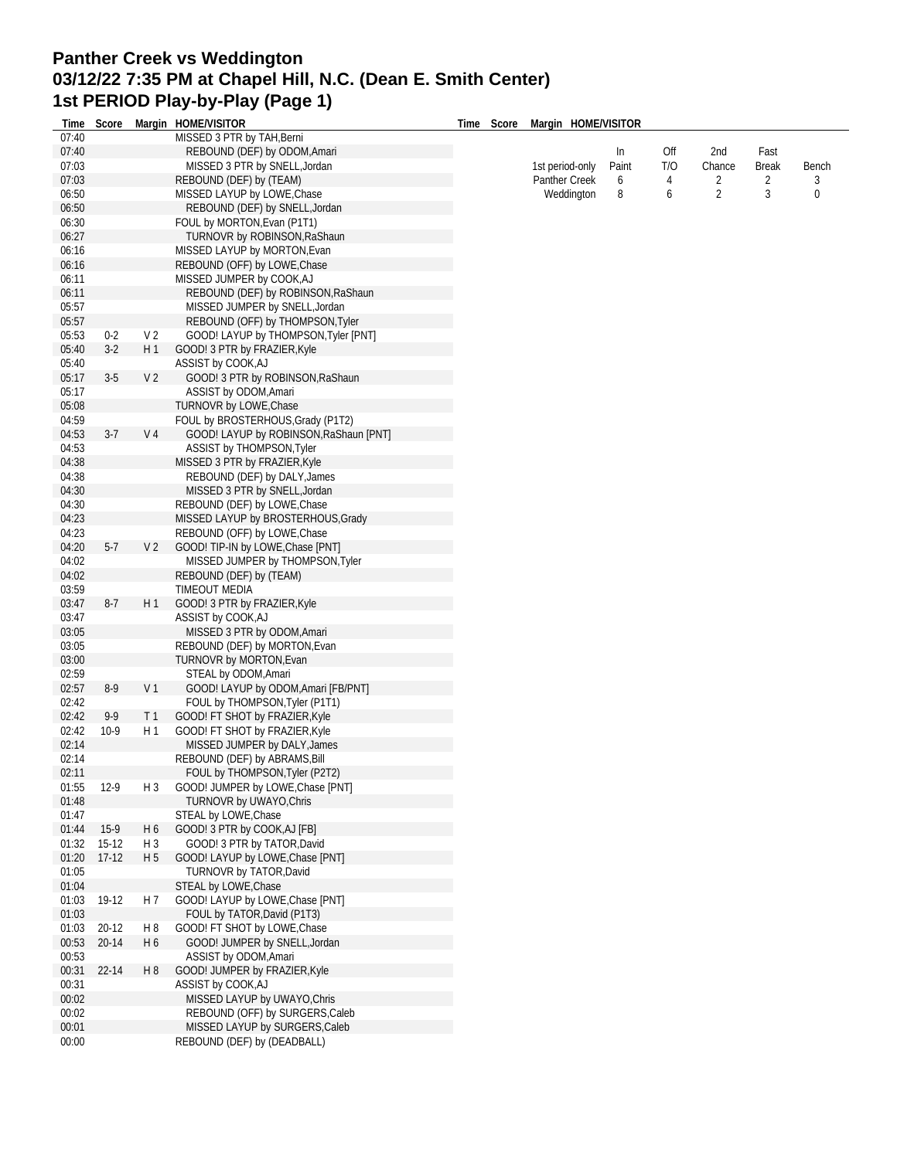### **Panther Creek vs Weddington 03/12/22 7:35 PM at Chapel Hill, N.C. (Dean E. Smith Center) 1st PERIOD Play-by-Play (Page 1)**

| Time           | Score     |                | Margin HOME/VISITOR                                                  | Time | Score Margin HOME/VISITOR |       |     |                |              |       |
|----------------|-----------|----------------|----------------------------------------------------------------------|------|---------------------------|-------|-----|----------------|--------------|-------|
| 07:40          |           |                | MISSED 3 PTR by TAH, Berni                                           |      |                           |       |     |                |              |       |
| 07:40          |           |                | REBOUND (DEF) by ODOM, Amari                                         |      |                           | In    | Off | 2nd            | Fast         |       |
| 07:03          |           |                | MISSED 3 PTR by SNELL, Jordan                                        |      | 1st period-only           | Paint | T/O | Chance         | <b>Break</b> | Bench |
| 07:03          |           |                | REBOUND (DEF) by (TEAM)                                              |      | Panther Creek             | 6     | 4   | 2              | 2            | 3     |
| 06:50          |           |                | MISSED LAYUP by LOWE, Chase                                          |      | Weddington                | 8     | 6   | $\overline{2}$ | 3            | 0     |
| 06:50          |           |                | REBOUND (DEF) by SNELL, Jordan                                       |      |                           |       |     |                |              |       |
| 06:30          |           |                | FOUL by MORTON, Evan (P1T1)                                          |      |                           |       |     |                |              |       |
| 06:27          |           |                | TURNOVR by ROBINSON, RaShaun                                         |      |                           |       |     |                |              |       |
| 06:16          |           |                | MISSED LAYUP by MORTON, Evan                                         |      |                           |       |     |                |              |       |
| 06:16          |           |                | REBOUND (OFF) by LOWE, Chase                                         |      |                           |       |     |                |              |       |
| 06:11          |           |                | MISSED JUMPER by COOK, AJ                                            |      |                           |       |     |                |              |       |
| 06:11<br>05:57 |           |                | REBOUND (DEF) by ROBINSON, RaShaun<br>MISSED JUMPER by SNELL, Jordan |      |                           |       |     |                |              |       |
| 05:57          |           |                | REBOUND (OFF) by THOMPSON, Tyler                                     |      |                           |       |     |                |              |       |
| 05:53          | $0 - 2$   | V <sub>2</sub> | GOOD! LAYUP by THOMPSON, Tyler [PNT]                                 |      |                           |       |     |                |              |       |
| 05:40          | $3-2$     | H1             | GOOD! 3 PTR by FRAZIER, Kyle                                         |      |                           |       |     |                |              |       |
| 05:40          |           |                | ASSIST by COOK, AJ                                                   |      |                           |       |     |                |              |       |
| 05:17          | $3-5$     | V <sub>2</sub> | GOOD! 3 PTR by ROBINSON, RaShaun                                     |      |                           |       |     |                |              |       |
| 05:17          |           |                | ASSIST by ODOM, Amari                                                |      |                           |       |     |                |              |       |
| 05:08          |           |                | TURNOVR by LOWE, Chase                                               |      |                           |       |     |                |              |       |
| 04:59          |           |                | FOUL by BROSTERHOUS, Grady (P1T2)                                    |      |                           |       |     |                |              |       |
| 04:53          | $3-7$     | V 4            | GOOD! LAYUP by ROBINSON, RaShaun [PNT]                               |      |                           |       |     |                |              |       |
| 04:53          |           |                | ASSIST by THOMPSON, Tyler                                            |      |                           |       |     |                |              |       |
| 04:38          |           |                | MISSED 3 PTR by FRAZIER, Kyle                                        |      |                           |       |     |                |              |       |
| 04:38          |           |                | REBOUND (DEF) by DALY, James                                         |      |                           |       |     |                |              |       |
| 04:30          |           |                | MISSED 3 PTR by SNELL, Jordan                                        |      |                           |       |     |                |              |       |
| 04:30          |           |                | REBOUND (DEF) by LOWE, Chase                                         |      |                           |       |     |                |              |       |
| 04:23          |           |                | MISSED LAYUP by BROSTERHOUS, Grady                                   |      |                           |       |     |                |              |       |
| 04:23          |           |                | REBOUND (OFF) by LOWE, Chase                                         |      |                           |       |     |                |              |       |
| 04:20          | $5-7$     | V <sub>2</sub> | GOOD! TIP-IN by LOWE, Chase [PNT]                                    |      |                           |       |     |                |              |       |
| 04:02          |           |                | MISSED JUMPER by THOMPSON, Tyler                                     |      |                           |       |     |                |              |       |
| 04:02          |           |                | REBOUND (DEF) by (TEAM)                                              |      |                           |       |     |                |              |       |
| 03:59          |           |                | TIMEOUT MEDIA                                                        |      |                           |       |     |                |              |       |
| 03:47          | $8-7$     | H1             | GOOD! 3 PTR by FRAZIER, Kyle                                         |      |                           |       |     |                |              |       |
| 03:47          |           |                | ASSIST by COOK, AJ                                                   |      |                           |       |     |                |              |       |
| 03:05<br>03:05 |           |                | MISSED 3 PTR by ODOM, Amari<br>REBOUND (DEF) by MORTON, Evan         |      |                           |       |     |                |              |       |
| 03:00          |           |                | TURNOVR by MORTON, Evan                                              |      |                           |       |     |                |              |       |
| 02:59          |           |                | STEAL by ODOM, Amari                                                 |      |                           |       |     |                |              |       |
| 02:57          | $8-9$     | V <sub>1</sub> | GOOD! LAYUP by ODOM, Amari [FB/PNT]                                  |      |                           |       |     |                |              |       |
| 02:42          |           |                | FOUL by THOMPSON, Tyler (P1T1)                                       |      |                           |       |     |                |              |       |
| 02:42          | 9-9       | T <sub>1</sub> | GOOD! FT SHOT by FRAZIER, Kyle                                       |      |                           |       |     |                |              |       |
| 02:42          | $10-9$    | H 1            | GOOD! FT SHOT by FRAZIER, Kyle                                       |      |                           |       |     |                |              |       |
| 02:14          |           |                | MISSED JUMPER by DALY, James                                         |      |                           |       |     |                |              |       |
| 02:14          |           |                | REBOUND (DEF) by ABRAMS, Bill                                        |      |                           |       |     |                |              |       |
| 02:11          |           |                | FOUL by THOMPSON, Tyler (P2T2)                                       |      |                           |       |     |                |              |       |
| 01:55          | $12-9$    | H 3            | GOOD! JUMPER by LOWE, Chase [PNT]                                    |      |                           |       |     |                |              |       |
| 01:48          |           |                | TURNOVR by UWAYO, Chris                                              |      |                           |       |     |                |              |       |
| 01:47          |           |                | STEAL by LOWE, Chase                                                 |      |                           |       |     |                |              |       |
| 01:44          | $15-9$    | H 6            | GOOD! 3 PTR by COOK, AJ [FB]                                         |      |                           |       |     |                |              |       |
| 01:32          | $15-12$   | H 3            | GOOD! 3 PTR by TATOR, David                                          |      |                           |       |     |                |              |       |
| 01:20          | $17-12$   | H 5            | GOOD! LAYUP by LOWE, Chase [PNT]                                     |      |                           |       |     |                |              |       |
| 01:05          |           |                | TURNOVR by TATOR, David                                              |      |                           |       |     |                |              |       |
| 01:04          |           |                | STEAL by LOWE, Chase                                                 |      |                           |       |     |                |              |       |
| 01:03          | 19-12     | H 7            | GOOD! LAYUP by LOWE, Chase [PNT]<br>FOUL by TATOR, David (P1T3)      |      |                           |       |     |                |              |       |
| 01:03<br>01:03 | 20-12     | H8             | GOOD! FT SHOT by LOWE, Chase                                         |      |                           |       |     |                |              |       |
| 00:53          | $20 - 14$ | H 6            | GOOD! JUMPER by SNELL, Jordan                                        |      |                           |       |     |                |              |       |
| 00:53          |           |                | ASSIST by ODOM, Amari                                                |      |                           |       |     |                |              |       |
| 00:31          | 22-14     | H <sub>8</sub> | GOOD! JUMPER by FRAZIER, Kyle                                        |      |                           |       |     |                |              |       |
| 00:31          |           |                | ASSIST by COOK, AJ                                                   |      |                           |       |     |                |              |       |
| 00:02          |           |                | MISSED LAYUP by UWAYO, Chris                                         |      |                           |       |     |                |              |       |
| 00:02          |           |                | REBOUND (OFF) by SURGERS, Caleb                                      |      |                           |       |     |                |              |       |
| 00:01          |           |                | MISSED LAYUP by SURGERS, Caleb                                       |      |                           |       |     |                |              |       |
| 00:00          |           |                | REBOUND (DEF) by (DEADBALL)                                          |      |                           |       |     |                |              |       |
|                |           |                |                                                                      |      |                           |       |     |                |              |       |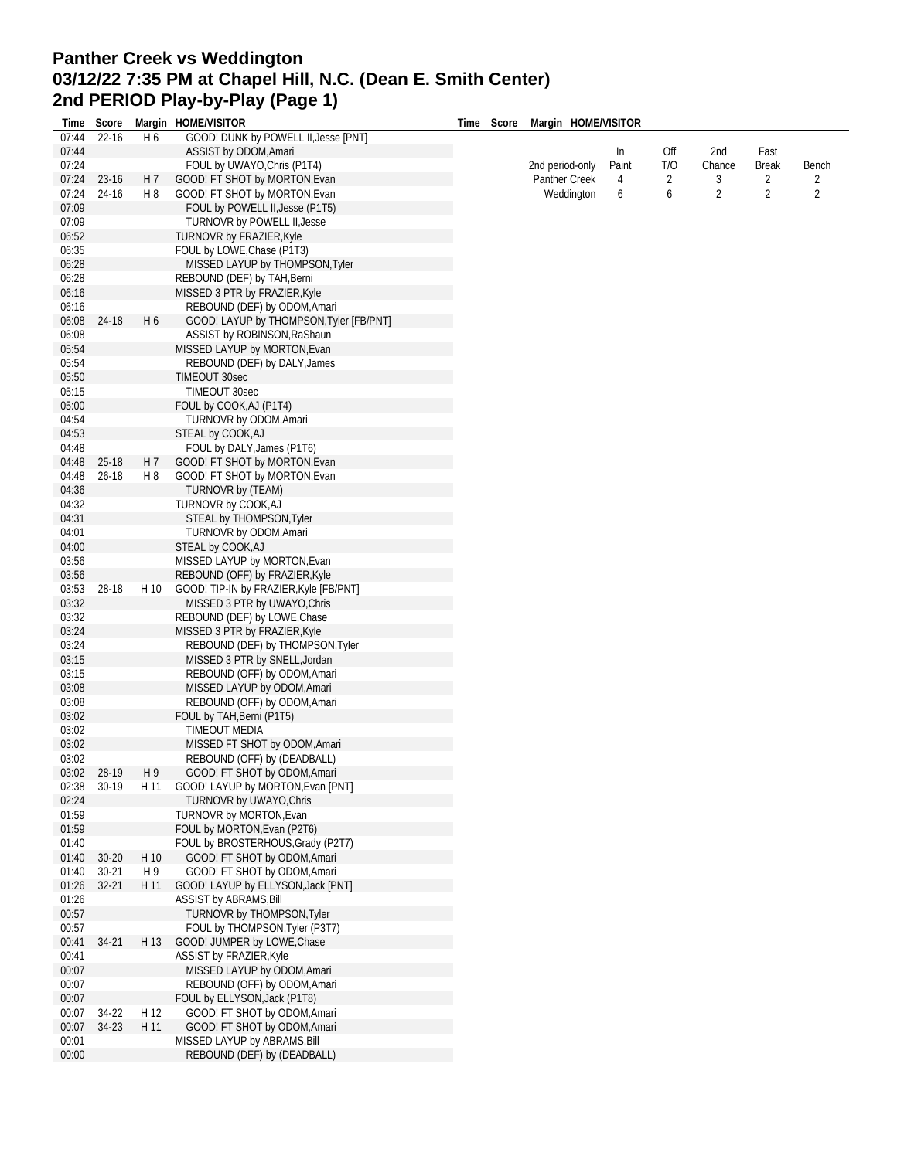## **Panther Creek vs Weddington 03/12/22 7:35 PM at Chapel Hill, N.C. (Dean E. Smith Center) 2nd PERIOD Play-by-Play (Page 1)**

| Time  | Score     |                | Margin HOME/VISITOR                     | Time | Score | Margin HOME/VISITOR |       |     |                |              |                |
|-------|-----------|----------------|-----------------------------------------|------|-------|---------------------|-------|-----|----------------|--------------|----------------|
| 07:44 | 22-16     | H <sub>6</sub> | GOOD! DUNK by POWELL II, Jesse [PNT]    |      |       |                     |       |     |                |              |                |
| 07:44 |           |                | ASSIST by ODOM, Amari                   |      |       |                     | In    | Off | 2nd            | Fast         |                |
| 07:24 |           |                | FOUL by UWAYO, Chris (P1T4)             |      |       | 2nd period-only     | Paint | T/O | Chance         | <b>Break</b> | Bench          |
| 07:24 | 23-16     | H 7            | GOOD! FT SHOT by MORTON, Evan           |      |       | Panther Creek       | 4     | 2   | 3              | 2            | 2              |
| 07:24 | 24-16     | H 8            | GOOD! FT SHOT by MORTON, Evan           |      |       | Weddington          | 6     | 6   | $\overline{2}$ | 2            | $\overline{2}$ |
| 07:09 |           |                | FOUL by POWELL II, Jesse (P1T5)         |      |       |                     |       |     |                |              |                |
| 07:09 |           |                | TURNOVR by POWELL II, Jesse             |      |       |                     |       |     |                |              |                |
| 06:52 |           |                | TURNOVR by FRAZIER, Kyle                |      |       |                     |       |     |                |              |                |
| 06:35 |           |                | FOUL by LOWE, Chase (P1T3)              |      |       |                     |       |     |                |              |                |
| 06:28 |           |                |                                         |      |       |                     |       |     |                |              |                |
|       |           |                | MISSED LAYUP by THOMPSON, Tyler         |      |       |                     |       |     |                |              |                |
| 06:28 |           |                | REBOUND (DEF) by TAH, Berni             |      |       |                     |       |     |                |              |                |
| 06:16 |           |                | MISSED 3 PTR by FRAZIER, Kyle           |      |       |                     |       |     |                |              |                |
| 06:16 |           |                | REBOUND (DEF) by ODOM, Amari            |      |       |                     |       |     |                |              |                |
| 06:08 | 24-18     | H <sub>6</sub> | GOOD! LAYUP by THOMPSON, Tyler [FB/PNT] |      |       |                     |       |     |                |              |                |
| 06:08 |           |                | ASSIST by ROBINSON, RaShaun             |      |       |                     |       |     |                |              |                |
| 05:54 |           |                | MISSED LAYUP by MORTON,Evan             |      |       |                     |       |     |                |              |                |
| 05:54 |           |                | REBOUND (DEF) by DALY, James            |      |       |                     |       |     |                |              |                |
| 05:50 |           |                | TIMEOUT 30sec                           |      |       |                     |       |     |                |              |                |
| 05:15 |           |                | TIMEOUT 30sec                           |      |       |                     |       |     |                |              |                |
| 05:00 |           |                | FOUL by COOK, AJ (P1T4)                 |      |       |                     |       |     |                |              |                |
| 04:54 |           |                | TURNOVR by ODOM, Amari                  |      |       |                     |       |     |                |              |                |
|       |           |                |                                         |      |       |                     |       |     |                |              |                |
| 04:53 |           |                | STEAL by COOK, AJ                       |      |       |                     |       |     |                |              |                |
| 04:48 |           |                | FOUL by DALY, James (P1T6)              |      |       |                     |       |     |                |              |                |
| 04:48 | 25-18     | H <sub>7</sub> | GOOD! FT SHOT by MORTON, Evan           |      |       |                     |       |     |                |              |                |
| 04:48 | $26 - 18$ | H 8            | GOOD! FT SHOT by MORTON, Evan           |      |       |                     |       |     |                |              |                |
| 04:36 |           |                | TURNOVR by (TEAM)                       |      |       |                     |       |     |                |              |                |
| 04:32 |           |                | TURNOVR by COOK, AJ                     |      |       |                     |       |     |                |              |                |
| 04:31 |           |                | STEAL by THOMPSON, Tyler                |      |       |                     |       |     |                |              |                |
| 04:01 |           |                | TURNOVR by ODOM, Amari                  |      |       |                     |       |     |                |              |                |
| 04:00 |           |                | STEAL by COOK, AJ                       |      |       |                     |       |     |                |              |                |
| 03:56 |           |                | MISSED LAYUP by MORTON, Evan            |      |       |                     |       |     |                |              |                |
| 03:56 |           |                | REBOUND (OFF) by FRAZIER, Kyle          |      |       |                     |       |     |                |              |                |
|       |           |                |                                         |      |       |                     |       |     |                |              |                |
| 03:53 | 28-18     | H 10           | GOOD! TIP-IN by FRAZIER, Kyle [FB/PNT]  |      |       |                     |       |     |                |              |                |
| 03:32 |           |                | MISSED 3 PTR by UWAYO, Chris            |      |       |                     |       |     |                |              |                |
| 03:32 |           |                | REBOUND (DEF) by LOWE, Chase            |      |       |                     |       |     |                |              |                |
| 03:24 |           |                | MISSED 3 PTR by FRAZIER, Kyle           |      |       |                     |       |     |                |              |                |
| 03:24 |           |                | REBOUND (DEF) by THOMPSON, Tyler        |      |       |                     |       |     |                |              |                |
| 03:15 |           |                | MISSED 3 PTR by SNELL, Jordan           |      |       |                     |       |     |                |              |                |
| 03:15 |           |                | REBOUND (OFF) by ODOM, Amari            |      |       |                     |       |     |                |              |                |
| 03:08 |           |                | MISSED LAYUP by ODOM, Amari             |      |       |                     |       |     |                |              |                |
| 03:08 |           |                | REBOUND (OFF) by ODOM, Amari            |      |       |                     |       |     |                |              |                |
| 03:02 |           |                | FOUL by TAH, Berni (P1T5)               |      |       |                     |       |     |                |              |                |
| 03:02 |           |                | TIMEOUT MEDIA                           |      |       |                     |       |     |                |              |                |
| 03:02 |           |                | MISSED FT SHOT by ODOM, Amari           |      |       |                     |       |     |                |              |                |
| 03:02 |           |                |                                         |      |       |                     |       |     |                |              |                |
|       |           |                | REBOUND (OFF) by (DEADBALL)             |      |       |                     |       |     |                |              |                |
| 03:02 | 28-19     | H9             | GOOD! FT SHOT by ODOM, Amari            |      |       |                     |       |     |                |              |                |
| 02:38 | 30-19     | H 11           | GOOD! LAYUP by MORTON, Evan [PNT]       |      |       |                     |       |     |                |              |                |
| 02:24 |           |                | TURNOVR by UWAYO, Chris                 |      |       |                     |       |     |                |              |                |
| 01:59 |           |                | TURNOVR by MORTON, Evan                 |      |       |                     |       |     |                |              |                |
| 01:59 |           |                | FOUL by MORTON, Evan (P2T6)             |      |       |                     |       |     |                |              |                |
| 01:40 |           |                | FOUL by BROSTERHOUS, Grady (P2T7)       |      |       |                     |       |     |                |              |                |
| 01:40 | $30 - 20$ | H 10           | GOOD! FT SHOT by ODOM, Amari            |      |       |                     |       |     |                |              |                |
| 01:40 | $30 - 21$ | H 9            | GOOD! FT SHOT by ODOM, Amari            |      |       |                     |       |     |                |              |                |
| 01:26 | $32 - 21$ | H 11           | GOOD! LAYUP by ELLYSON, Jack [PNT]      |      |       |                     |       |     |                |              |                |
| 01:26 |           |                | <b>ASSIST by ABRAMS, Bill</b>           |      |       |                     |       |     |                |              |                |
| 00:57 |           |                | TURNOVR by THOMPSON, Tyler              |      |       |                     |       |     |                |              |                |
| 00:57 |           |                | FOUL by THOMPSON, Tyler (P3T7)          |      |       |                     |       |     |                |              |                |
|       |           |                |                                         |      |       |                     |       |     |                |              |                |
| 00:41 | $34 - 21$ | H 13           | GOOD! JUMPER by LOWE, Chase             |      |       |                     |       |     |                |              |                |
| 00:41 |           |                | ASSIST by FRAZIER, Kyle                 |      |       |                     |       |     |                |              |                |
| 00:07 |           |                | MISSED LAYUP by ODOM, Amari             |      |       |                     |       |     |                |              |                |
| 00:07 |           |                | REBOUND (OFF) by ODOM, Amari            |      |       |                     |       |     |                |              |                |
| 00:07 |           |                | FOUL by ELLYSON, Jack (P1T8)            |      |       |                     |       |     |                |              |                |
| 00:07 | 34-22     | H 12           | GOOD! FT SHOT by ODOM, Amari            |      |       |                     |       |     |                |              |                |
| 00:07 | 34-23     | H 11           | GOOD! FT SHOT by ODOM, Amari            |      |       |                     |       |     |                |              |                |
| 00:01 |           |                | MISSED LAYUP by ABRAMS, Bill            |      |       |                     |       |     |                |              |                |
| 00:00 |           |                | REBOUND (DEF) by (DEADBALL)             |      |       |                     |       |     |                |              |                |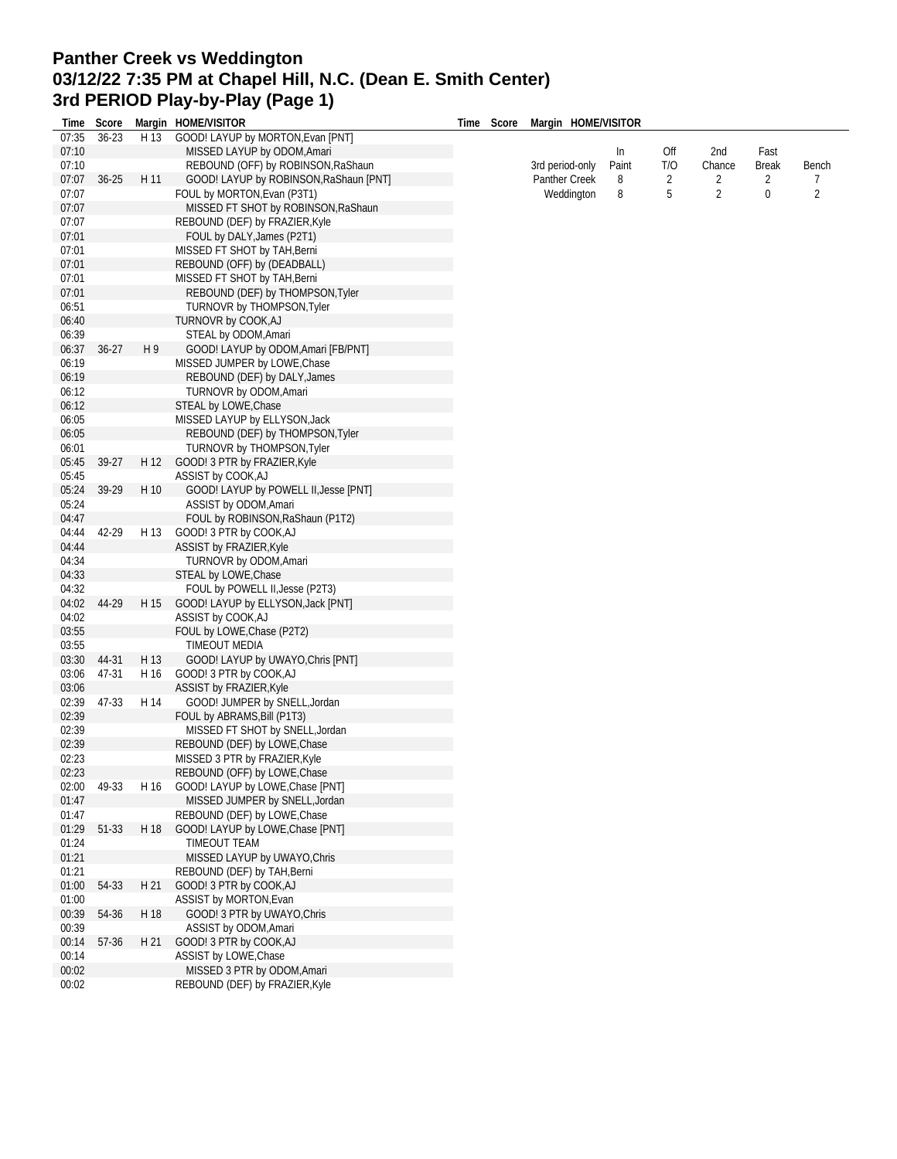## **Panther Creek vs Weddington 03/12/22 7:35 PM at Chapel Hill, N.C. (Dean E. Smith Center) 3rd PERIOD Play-by-Play (Page 1)**

|       | Time Score |      | Margin HOME/VISITOR                    | Time Score | Margin HOME/VISITOR |       |     |                |              |       |
|-------|------------|------|----------------------------------------|------------|---------------------|-------|-----|----------------|--------------|-------|
| 07:35 | $36 - 23$  | H 13 | GOOD! LAYUP by MORTON, Evan [PNT]      |            |                     |       |     |                |              |       |
| 07:10 |            |      | MISSED LAYUP by ODOM, Amari            |            |                     | In    | Off | 2nd            | Fast         |       |
| 07:10 |            |      | REBOUND (OFF) by ROBINSON, RaShaun     |            | 3rd period-only     | Paint | T/O | Chance         | <b>Break</b> | Bench |
| 07:07 | $36 - 25$  | H 11 | GOOD! LAYUP by ROBINSON, RaShaun [PNT] |            | Panther Creek       | 8     | 2   | 2              | 2            | 7     |
| 07:07 |            |      | FOUL by MORTON, Evan (P3T1)            |            | Weddington          | 8     | 5   | $\overline{2}$ | 0            | 2     |
| 07:07 |            |      | MISSED FT SHOT by ROBINSON, RaShaun    |            |                     |       |     |                |              |       |
| 07:07 |            |      | REBOUND (DEF) by FRAZIER, Kyle         |            |                     |       |     |                |              |       |
| 07:01 |            |      | FOUL by DALY, James (P2T1)             |            |                     |       |     |                |              |       |
| 07:01 |            |      | MISSED FT SHOT by TAH, Berni           |            |                     |       |     |                |              |       |
| 07:01 |            |      | REBOUND (OFF) by (DEADBALL)            |            |                     |       |     |                |              |       |
| 07:01 |            |      | MISSED FT SHOT by TAH, Berni           |            |                     |       |     |                |              |       |
| 07:01 |            |      | REBOUND (DEF) by THOMPSON, Tyler       |            |                     |       |     |                |              |       |
| 06:51 |            |      | TURNOVR by THOMPSON, Tyler             |            |                     |       |     |                |              |       |
| 06:40 |            |      | TURNOVR by COOK, AJ                    |            |                     |       |     |                |              |       |
| 06:39 |            |      | STEAL by ODOM, Amari                   |            |                     |       |     |                |              |       |
| 06:37 | $36 - 27$  | H9   | GOOD! LAYUP by ODOM, Amari [FB/PNT]    |            |                     |       |     |                |              |       |
| 06:19 |            |      | MISSED JUMPER by LOWE, Chase           |            |                     |       |     |                |              |       |
| 06:19 |            |      | REBOUND (DEF) by DALY, James           |            |                     |       |     |                |              |       |
| 06:12 |            |      | TURNOVR by ODOM, Amari                 |            |                     |       |     |                |              |       |
| 06:12 |            |      | STEAL by LOWE, Chase                   |            |                     |       |     |                |              |       |
| 06:05 |            |      | MISSED LAYUP by ELLYSON, Jack          |            |                     |       |     |                |              |       |
| 06:05 |            |      | REBOUND (DEF) by THOMPSON, Tyler       |            |                     |       |     |                |              |       |
| 06:01 |            |      | TURNOVR by THOMPSON, Tyler             |            |                     |       |     |                |              |       |
| 05:45 | 39-27      | H 12 | GOOD! 3 PTR by FRAZIER, Kyle           |            |                     |       |     |                |              |       |
| 05:45 |            |      | ASSIST by COOK, AJ                     |            |                     |       |     |                |              |       |
| 05:24 | 39-29      | H 10 | GOOD! LAYUP by POWELL II, Jesse [PNT]  |            |                     |       |     |                |              |       |
| 05:24 |            |      | ASSIST by ODOM, Amari                  |            |                     |       |     |                |              |       |
| 04:47 |            |      | FOUL by ROBINSON, RaShaun (P1T2)       |            |                     |       |     |                |              |       |
| 04:44 | 42-29      | H 13 | GOOD! 3 PTR by COOK, AJ                |            |                     |       |     |                |              |       |
| 04:44 |            |      | ASSIST by FRAZIER, Kyle                |            |                     |       |     |                |              |       |
| 04:34 |            |      | TURNOVR by ODOM, Amari                 |            |                     |       |     |                |              |       |
| 04:33 |            |      | STEAL by LOWE, Chase                   |            |                     |       |     |                |              |       |
| 04:32 |            |      | FOUL by POWELL II, Jesse (P2T3)        |            |                     |       |     |                |              |       |
| 04:02 | 44-29      | H 15 | GOOD! LAYUP by ELLYSON, Jack [PNT]     |            |                     |       |     |                |              |       |
| 04:02 |            |      | ASSIST by COOK, AJ                     |            |                     |       |     |                |              |       |
| 03:55 |            |      | FOUL by LOWE, Chase (P2T2)             |            |                     |       |     |                |              |       |
| 03:55 |            |      | TIMEOUT MEDIA                          |            |                     |       |     |                |              |       |
| 03:30 | 44-31      | H 13 | GOOD! LAYUP by UWAYO, Chris [PNT]      |            |                     |       |     |                |              |       |
| 03:06 | 47-31      | H 16 | GOOD! 3 PTR by COOK, AJ                |            |                     |       |     |                |              |       |
| 03:06 |            |      | <b>ASSIST by FRAZIER, Kyle</b>         |            |                     |       |     |                |              |       |
| 02:39 | 47-33      | H 14 | GOOD! JUMPER by SNELL, Jordan          |            |                     |       |     |                |              |       |
| 02:39 |            |      | FOUL by ABRAMS, Bill (P1T3)            |            |                     |       |     |                |              |       |
| 02:39 |            |      | MISSED FT SHOT by SNELL, Jordan        |            |                     |       |     |                |              |       |
| 02:39 |            |      | REBOUND (DEF) by LOWE, Chase           |            |                     |       |     |                |              |       |
| 02:23 |            |      | MISSED 3 PTR by FRAZIER, Kyle          |            |                     |       |     |                |              |       |
| 02:23 |            |      | REBOUND (OFF) by LOWE, Chase           |            |                     |       |     |                |              |       |
| 02:00 | 49-33      | H 16 | GOOD! LAYUP by LOWE, Chase [PNT]       |            |                     |       |     |                |              |       |
| 01:47 |            |      | MISSED JUMPER by SNELL, Jordan         |            |                     |       |     |                |              |       |
| 01:47 |            |      | REBOUND (DEF) by LOWE, Chase           |            |                     |       |     |                |              |       |
| 01:29 | 51-33      | H 18 | GOOD! LAYUP by LOWE, Chase [PNT]       |            |                     |       |     |                |              |       |
| 01:24 |            |      | TIMEOUT TEAM                           |            |                     |       |     |                |              |       |
| 01:21 |            |      | MISSED LAYUP by UWAYO, Chris           |            |                     |       |     |                |              |       |
| 01:21 |            |      | REBOUND (DEF) by TAH, Berni            |            |                     |       |     |                |              |       |
| 01:00 | 54-33      | H 21 | GOOD! 3 PTR by COOK, AJ                |            |                     |       |     |                |              |       |
| 01:00 |            |      | ASSIST by MORTON, Evan                 |            |                     |       |     |                |              |       |
| 00:39 | 54-36      | H 18 | GOOD! 3 PTR by UWAYO, Chris            |            |                     |       |     |                |              |       |
| 00:39 |            |      | ASSIST by ODOM, Amari                  |            |                     |       |     |                |              |       |
| 00:14 | 57-36      | H 21 | GOOD! 3 PTR by COOK, AJ                |            |                     |       |     |                |              |       |
| 00:14 |            |      | ASSIST by LOWE, Chase                  |            |                     |       |     |                |              |       |
| 00:02 |            |      | MISSED 3 PTR by ODOM, Amari            |            |                     |       |     |                |              |       |
| 00:02 |            |      | REBOUND (DEF) by FRAZIER, Kyle         |            |                     |       |     |                |              |       |
|       |            |      |                                        |            |                     |       |     |                |              |       |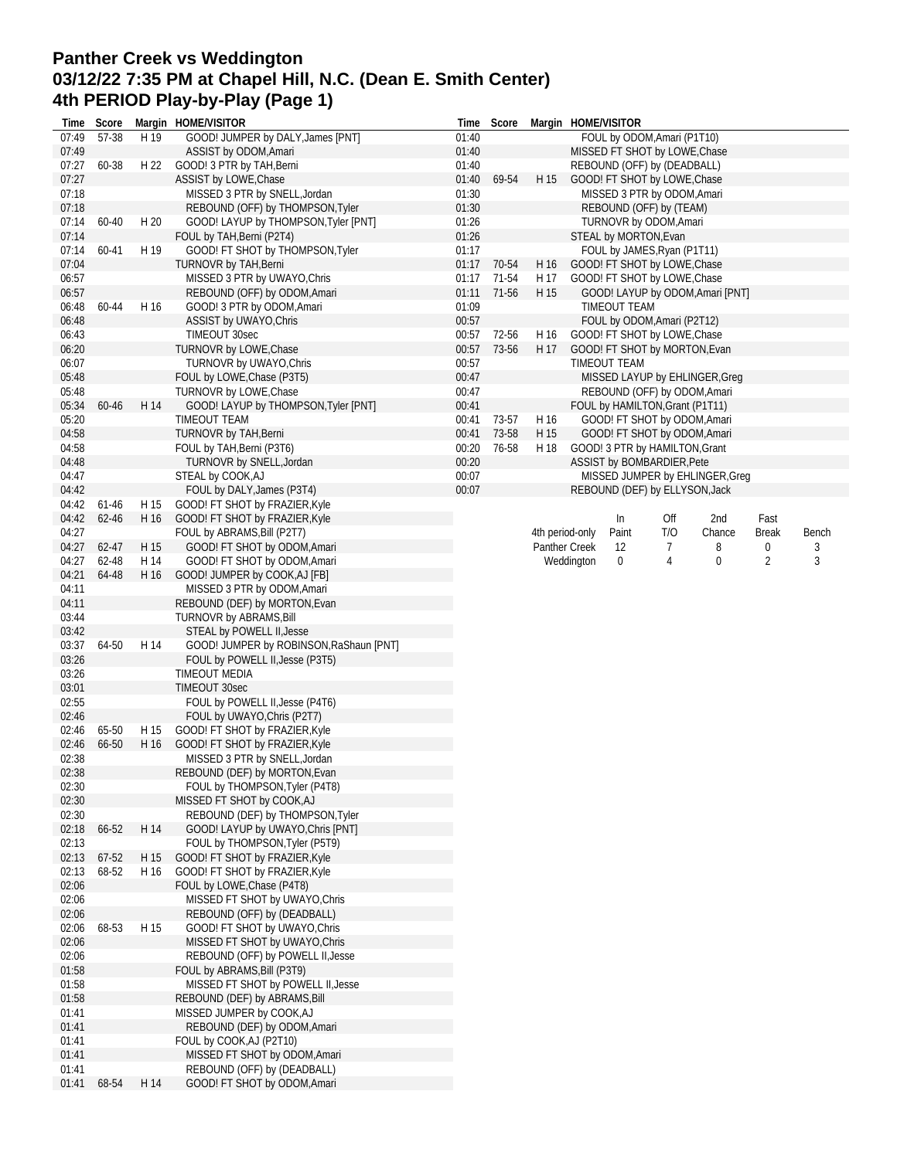## **Panther Creek vs Weddington 03/12/22 7:35 PM at Chapel Hill, N.C. (Dean E. Smith Center) 4th PERIOD Play-by-Play (Page 1)**

| Time           | Score   |      | Margin HOME/VISITOR                                     | Time  | Score |                 | Margin HOME/VISITOR               |     |        |              |       |
|----------------|---------|------|---------------------------------------------------------|-------|-------|-----------------|-----------------------------------|-----|--------|--------------|-------|
| 07:49          | 57-38   | H 19 | GOOD! JUMPER by DALY, James [PNT]                       | 01:40 |       |                 | FOUL by ODOM, Amari (P1T10)       |     |        |              |       |
| 07:49          |         |      | ASSIST by ODOM, Amari                                   | 01:40 |       |                 | MISSED FT SHOT by LOWE, Chase     |     |        |              |       |
| 07:27          | 60-38   | H 22 | GOOD! 3 PTR by TAH, Berni                               | 01:40 |       |                 | REBOUND (OFF) by (DEADBALL)       |     |        |              |       |
| 07:27          |         |      | ASSIST by LOWE, Chase                                   | 01:40 | 69-54 | H 15            | GOOD! FT SHOT by LOWE, Chase      |     |        |              |       |
| 07:18          |         |      | MISSED 3 PTR by SNELL, Jordan                           | 01:30 |       |                 | MISSED 3 PTR by ODOM, Amari       |     |        |              |       |
| 07:18          |         |      | REBOUND (OFF) by THOMPSON, Tyler                        | 01:30 |       |                 | REBOUND (OFF) by (TEAM)           |     |        |              |       |
| 07:14          | 60-40   | H 20 | GOOD! LAYUP by THOMPSON, Tyler [PNT]                    | 01:26 |       |                 | TURNOVR by ODOM, Amari            |     |        |              |       |
| 07:14          |         |      | FOUL by TAH, Berni (P2T4)                               | 01:26 |       |                 | STEAL by MORTON, Evan             |     |        |              |       |
| 07:14          | 60-41   | H 19 | GOOD! FT SHOT by THOMPSON, Tyler                        | 01:17 |       |                 | FOUL by JAMES, Ryan (P1T11)       |     |        |              |       |
| 07:04          |         |      | TURNOVR by TAH, Berni                                   | 01:17 | 70-54 | H 16            | GOOD! FT SHOT by LOWE, Chase      |     |        |              |       |
| 06:57          |         |      | MISSED 3 PTR by UWAYO, Chris                            | 01:17 | 71-54 | H 17            | GOOD! FT SHOT by LOWE, Chase      |     |        |              |       |
| 06:57          |         |      | REBOUND (OFF) by ODOM, Amari                            | 01:11 | 71-56 | H 15            | GOOD! LAYUP by ODOM, Amari [PNT]  |     |        |              |       |
| 06:48          | 60-44   | H 16 | GOOD! 3 PTR by ODOM, Amari                              | 01:09 |       |                 | TIMEOUT TEAM                      |     |        |              |       |
| 06:48          |         |      | ASSIST by UWAYO, Chris                                  | 00:57 |       |                 | FOUL by ODOM, Amari (P2T12)       |     |        |              |       |
| 06:43          |         |      | TIMEOUT 30sec                                           | 00:57 | 72-56 | H 16            | GOOD! FT SHOT by LOWE, Chase      |     |        |              |       |
| 06:20          |         |      | TURNOVR by LOWE, Chase                                  | 00:57 | 73-56 | H 17            | GOOD! FT SHOT by MORTON, Evan     |     |        |              |       |
| 06:07          |         |      | TURNOVR by UWAYO, Chris                                 | 00:57 |       |                 | TIMEOUT TEAM                      |     |        |              |       |
| 05:48          |         |      | FOUL by LOWE, Chase (P3T5)                              | 00:47 |       |                 | MISSED LAYUP by EHLINGER, Greg    |     |        |              |       |
| 05:48          |         |      | TURNOVR by LOWE, Chase                                  | 00:47 |       |                 | REBOUND (OFF) by ODOM, Amari      |     |        |              |       |
| 05:34          | 60-46   | H 14 | GOOD! LAYUP by THOMPSON, Tyler [PNT]                    | 00:41 |       |                 | FOUL by HAMILTON, Grant (P1T11)   |     |        |              |       |
| 05:20          |         |      | TIMEOUT TEAM                                            | 00:41 | 73-57 | H 16            | GOOD! FT SHOT by ODOM, Amari      |     |        |              |       |
| 04:58          |         |      | TURNOVR by TAH, Berni                                   | 00:41 | 73-58 | H 15            | GOOD! FT SHOT by ODOM, Amari      |     |        |              |       |
| 04:58          |         |      | FOUL by TAH, Berni (P3T6)                               | 00:20 | 76-58 | H 18            | GOOD! 3 PTR by HAMILTON, Grant    |     |        |              |       |
| 04:48          |         |      | TURNOVR by SNELL, Jordan                                | 00:20 |       |                 | <b>ASSIST by BOMBARDIER, Pete</b> |     |        |              |       |
| 04:47          |         |      | STEAL by COOK, AJ                                       | 00:07 |       |                 | MISSED JUMPER by EHLINGER, Greg   |     |        |              |       |
| 04:42          |         |      | FOUL by DALY, James (P3T4)                              | 00:07 |       |                 | REBOUND (DEF) by ELLYSON, Jack    |     |        |              |       |
| 04:42          | $61-46$ | H 15 | GOOD! FT SHOT by FRAZIER, Kyle                          |       |       |                 |                                   |     |        |              |       |
| 04:42          | 62-46   | H 16 | GOOD! FT SHOT by FRAZIER, Kyle                          |       |       |                 | In                                | Off | 2nd    | Fast         |       |
| 04:27          |         |      | FOUL by ABRAMS, Bill (P2T7)                             |       |       | 4th period-only | Paint                             | T/O | Chance | <b>Break</b> | Bench |
| 04:27          | 62-47   | H 15 | GOOD! FT SHOT by ODOM, Amari                            |       |       | Panther Creek   | 12                                | 7   | 8      | 0            | 3     |
| 04:27          | 62-48   | H 14 | GOOD! FT SHOT by ODOM, Amari                            |       |       |                 | Weddington<br>0                   | 4   | 0      | 2            | 3     |
| 04:21          | 64-48   | H 16 | GOOD! JUMPER by COOK, AJ [FB]                           |       |       |                 |                                   |     |        |              |       |
| 04:11          |         |      | MISSED 3 PTR by ODOM, Amari                             |       |       |                 |                                   |     |        |              |       |
| 04:11          |         |      | REBOUND (DEF) by MORTON, Evan                           |       |       |                 |                                   |     |        |              |       |
| 03:44          |         |      | TURNOVR by ABRAMS, Bill                                 |       |       |                 |                                   |     |        |              |       |
| 03:42          |         |      | STEAL by POWELL II, Jesse                               |       |       |                 |                                   |     |        |              |       |
| 03:37          | 64-50   | H 14 | GOOD! JUMPER by ROBINSON, RaShaun [PNT]                 |       |       |                 |                                   |     |        |              |       |
| 03:26          |         |      | FOUL by POWELL II, Jesse (P3T5)                         |       |       |                 |                                   |     |        |              |       |
| 03:26          |         |      | TIMEOUT MEDIA                                           |       |       |                 |                                   |     |        |              |       |
| 03:01          |         |      | TIMEOUT 30sec                                           |       |       |                 |                                   |     |        |              |       |
| 02:55          |         |      | FOUL by POWELL II, Jesse (P4T6)                         |       |       |                 |                                   |     |        |              |       |
| 02:46          |         |      | FOUL by UWAYO, Chris (P2T7)                             |       |       |                 |                                   |     |        |              |       |
| 02:46          | 65-50   | H 15 | GOOD! FT SHOT by FRAZIER, Kyle                          |       |       |                 |                                   |     |        |              |       |
| 02:46          | 66-50   | H 16 | GOOD! FT SHOT by FRAZIER, Kyle                          |       |       |                 |                                   |     |        |              |       |
| 02:38          |         |      | MISSED 3 PTR by SNELL, Jordan                           |       |       |                 |                                   |     |        |              |       |
| 02:38          |         |      | REBOUND (DEF) by MORTON, Evan                           |       |       |                 |                                   |     |        |              |       |
| 02:30          |         |      | FOUL by THOMPSON, Tyler (P4T8)                          |       |       |                 |                                   |     |        |              |       |
| 02:30          |         |      | MISSED FT SHOT by COOK, AJ                              |       |       |                 |                                   |     |        |              |       |
| 02:30          |         |      | REBOUND (DEF) by THOMPSON, Tyler                        |       |       |                 |                                   |     |        |              |       |
| 02:18          | 66-52   | H 14 | GOOD! LAYUP by UWAYO, Chris [PNT]                       |       |       |                 |                                   |     |        |              |       |
| 02:13          |         |      | FOUL by THOMPSON, Tyler (P5T9)                          |       |       |                 |                                   |     |        |              |       |
| 02:13          | 67-52   | H 15 | GOOD! FT SHOT by FRAZIER, Kyle                          |       |       |                 |                                   |     |        |              |       |
| 02:13          | 68-52   | H 16 | GOOD! FT SHOT by FRAZIER, Kyle                          |       |       |                 |                                   |     |        |              |       |
| 02:06          |         |      | FOUL by LOWE, Chase (P4T8)                              |       |       |                 |                                   |     |        |              |       |
| 02:06          |         |      | MISSED FT SHOT by UWAYO, Chris                          |       |       |                 |                                   |     |        |              |       |
| 02:06          |         |      | REBOUND (OFF) by (DEADBALL)                             |       |       |                 |                                   |     |        |              |       |
| 02:06          | 68-53   | H 15 | GOOD! FT SHOT by UWAYO, Chris                           |       |       |                 |                                   |     |        |              |       |
| 02:06          |         |      | MISSED FT SHOT by UWAYO, Chris                          |       |       |                 |                                   |     |        |              |       |
| 02:06          |         |      | REBOUND (OFF) by POWELL II, Jesse                       |       |       |                 |                                   |     |        |              |       |
| 01:58          |         |      | FOUL by ABRAMS, Bill (P3T9)                             |       |       |                 |                                   |     |        |              |       |
| 01:58          |         |      | MISSED FT SHOT by POWELL II, Jesse                      |       |       |                 |                                   |     |        |              |       |
| 01:58          |         |      | REBOUND (DEF) by ABRAMS, Bill                           |       |       |                 |                                   |     |        |              |       |
| 01:41          |         |      | MISSED JUMPER by COOK, AJ                               |       |       |                 |                                   |     |        |              |       |
| 01:41<br>01:41 |         |      | REBOUND (DEF) by ODOM, Amari<br>FOUL by COOK,AJ (P2T10) |       |       |                 |                                   |     |        |              |       |
| 01:41          |         |      | MISSED FT SHOT by ODOM, Amari                           |       |       |                 |                                   |     |        |              |       |
| 01:41          |         |      | REBOUND (OFF) by (DEADBALL)                             |       |       |                 |                                   |     |        |              |       |
| 01:41          | 68-54   | H 14 | GOOD! FT SHOT by ODOM, Amari                            |       |       |                 |                                   |     |        |              |       |
|                |         |      |                                                         |       |       |                 |                                   |     |        |              |       |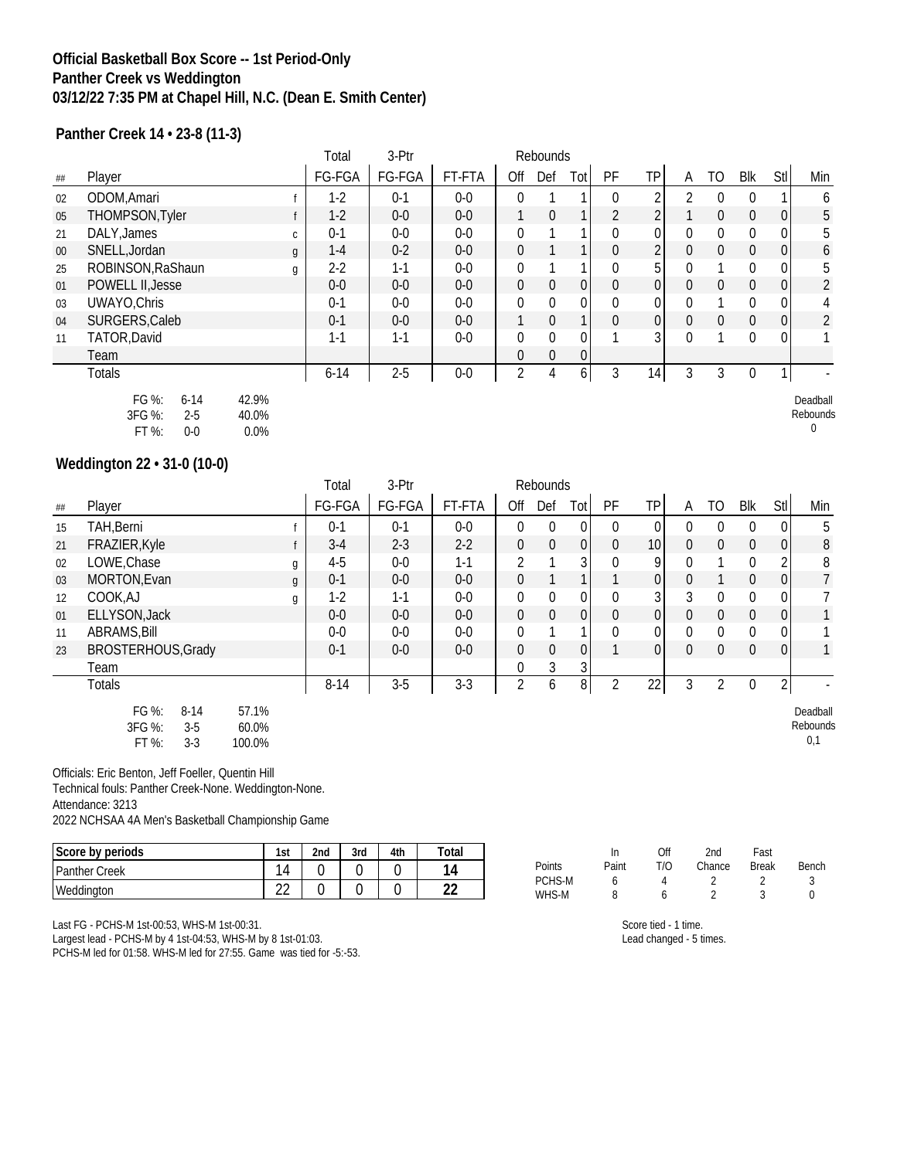#### **Official Basketball Box Score -- 1st Period-Only Panther Creek vs Weddington 03/12/22 7:35 PM at Chapel Hill, N.C. (Dean E. Smith Center)**

**Panther Creek 14 • 23-8 (11-3)**

|        |                                                            |                        | Total    | 3-Ptr   |         |                | Rebounds     |              |                |                |                |              |                |                |                           |
|--------|------------------------------------------------------------|------------------------|----------|---------|---------|----------------|--------------|--------------|----------------|----------------|----------------|--------------|----------------|----------------|---------------------------|
| ##     | Player                                                     |                        | FG-FGA   | FG-FGA  | FT-FTA  | Off            | Def          | Totl         | PF             | <b>TP</b>      | A              | TO           | Blk            | Stl            | Min                       |
| 02     | ODOM, Amari                                                |                        | $1-2$    | $0 - 1$ | $0-0$   | $\mathbf{0}$   |              |              | $\theta$       |                | $\mathfrak{D}$ | $\theta$     | $\theta$       |                | 6                         |
| 05     | THOMPSON, Tyler                                            |                        | $1-2$    | $0-0$   | $0-0$   |                | $\mathbf{0}$ | 1            | $\overline{2}$ | $\overline{2}$ |                | $\mathbf{0}$ | $\overline{0}$ | 0              | 5                         |
| 21     | DALY, James                                                | C.                     | $0-1$    | $0-0$   | $0-0$   | 0              |              |              | 0              | 0              | $\theta$       | 0            | $\mathbf{0}$   | 0              | 5                         |
| $00\,$ | SNELL, Jordan                                              | $\mathfrak{g}$         | $1-4$    | $0 - 2$ | $0 - 0$ | $\mathbf 0$    |              | 1            | $\theta$       | $\overline{2}$ | $\mathbf{0}$   | $\mathbf 0$  | $\overline{0}$ | $\overline{0}$ | 6                         |
| 25     | ROBINSON, RaShaun                                          | g                      | $2-2$    | $1 - 1$ | $0-0$   | 0              |              |              | $\mathbf{0}$   | 5              | $\Omega$       |              | $\mathbf{0}$   | 0              | 5                         |
| 01     | <b>POWELL II, Jesse</b>                                    |                        | $0-0$    | $0-0$   | $0-0$   | $\mathbf 0$    | $\mathbf{0}$ | $\mathbf 0$  | $\mathbf 0$    | 0              | $\Omega$       | $\mathbf{0}$ | $\overline{0}$ | 0              | $\overline{2}$            |
| 03     | UWAYO, Chris                                               |                        | $0-1$    | $0-0$   | $0-0$   | $\mathbf 0$    | 0            | $\mathbf{0}$ | $\mathbf{0}$   | 0              | $\theta$       |              | $\mathbf{0}$   | $\mathbf{0}$   | 4                         |
| 04     | SURGERS, Caleb                                             |                        | $0-1$    | $0 - 0$ | $0 - 0$ |                | $\theta$     | 1            | $\theta$       | 0              | $\Omega$       | $\theta$     | $\overline{0}$ | $\Omega$       | $\overline{2}$            |
| 11     | TATOR, David                                               |                        | $1 - 1$  | $1 - 1$ | $0-0$   | 0              | 0            | $\mathbf 0$  |                | 3              | $\Omega$       |              | $\mathbf{0}$   | 0              |                           |
|        | Team                                                       |                        |          |         |         | $\mathbf 0$    | $\mathbf{0}$ | 0            |                |                |                |              |                |                |                           |
|        | <b>Totals</b>                                              |                        | $6 - 14$ | $2 - 5$ | $0-0$   | $\overline{2}$ | 4            | 6 I          | 3              | 14             | 3              | 3            | 0              |                |                           |
|        | FG %:<br>$6 - 14$<br>3FG %:<br>$2 - 5$<br>FT %:<br>$0 - 0$ | 42.9%<br>40.0%<br>0.0% |          |         |         |                |              |              |                |                |                |              |                |                | Deadball<br>Rebounds<br>0 |

### **Weddington 22 • 31-0 (10-0)**

|    |                                                        |                          | Total    | 3-Ptr   |         |                |              |                 |                |                |              |                |                |                |                             |
|----|--------------------------------------------------------|--------------------------|----------|---------|---------|----------------|--------------|-----------------|----------------|----------------|--------------|----------------|----------------|----------------|-----------------------------|
| ## | Player                                                 |                          | FG-FGA   | FG-FGA  | FT-FTA  | Off            | Def          | Tot             | PF             | <b>TP</b>      | A            | TO             | Blk            | Stl            | Min                         |
| 15 | TAH, Berni                                             |                          | $0 - 1$  | $0 - 1$ | $0-0$   | $\mathbf{0}$   | $\mathbf{0}$ | 0               | $\theta$       | 0              | $\theta$     | $\mathbf{0}$   | $\mathbf 0$    | $\Omega$       | 5                           |
| 21 | FRAZIER, Kyle                                          |                          | $3-4$    | $2 - 3$ | $2 - 2$ | $\mathbf 0$    | $\mathbf 0$  | $\overline{0}$  | $\mathbf{0}$   | 10             | $\mathbf 0$  | $\overline{0}$ | $\overline{0}$ | $\overline{0}$ | $8\,$                       |
| 02 | LOWE, Chase                                            | g                        | $4 - 5$  | $0-0$   | $1 - 1$ | $\overline{2}$ |              | 3 <sup>1</sup>  | $\mathbf{0}$   | 9              | $\Omega$     |                | 0              | 2              | 8                           |
| 03 | MORTON, Evan                                           | g                        | $0 - 1$  | $0 - 0$ | $0 - 0$ | $\mathbf{0}$   |              | 1               |                | $\overline{0}$ | $\Omega$     |                | $\mathbf 0$    | $\overline{0}$ | 7                           |
| 12 | COOK,AJ                                                | g                        | $1-2$    | $1 - 1$ | $0-0$   | 0              | $\mathbf 0$  | 0               | $\mathbf{0}$   | 3              | 3            | $\mathbf 0$    | $\overline{0}$ | $\Omega$       |                             |
| 01 | ELLYSON, Jack                                          |                          | $0-0$    | $0 - 0$ | $0-0$   | $\overline{0}$ | $\Omega$     | $\vert 0 \vert$ | $\theta$       | $\Omega$       | $\mathbf{0}$ | $\Omega$       | $\overline{0}$ | $\overline{0}$ |                             |
| 11 | <b>ABRAMS, Bill</b>                                    |                          | $0-0$    | $0-0$   | $0-0$   | $\mathbf{0}$   |              | 1               | $\mathbf{0}$   | 0              | $\mathbf{0}$ | $\mathbf{0}$   | $\mathbf{0}$   | $\Omega$       |                             |
| 23 | BROSTERHOUS, Grady                                     |                          | $0 - 1$  | $0-0$   | $0-0$   | $\mathbf{0}$   | $\mathbf 0$  | 0               |                | $\overline{0}$ | $\mathbf 0$  | $\overline{0}$ | $\overline{0}$ | $\overline{0}$ |                             |
|    | Team                                                   |                          |          |         |         | $\mathbf{0}$   | 3            | 3               |                |                |              |                |                |                |                             |
|    | <b>Totals</b>                                          |                          | $8 - 14$ | $3-5$   | $3 - 3$ | $\overline{2}$ | 6            | 8 <sup>1</sup>  | $\overline{2}$ | 22             | 3            | $\overline{2}$ | $\mathbf 0$    | $\overline{2}$ |                             |
|    | FG %:<br>$8 - 14$<br>3FG %:<br>$3-5$<br>FT %:<br>$3-3$ | 57.1%<br>60.0%<br>100.0% |          |         |         |                |              |                 |                |                |              |                |                |                | Deadball<br>Rebounds<br>0,1 |

Officials: Eric Benton, Jeff Foeller, Quentin Hill

Technical fouls: Panther Creek-None. Weddington-None. Attendance: 3213

2022 NCHSAA 4A Men's Basketball Championship Game

| Score by periods     | 1st                      | 2nd | 3rd | 4th | $\tau$ otai |                 | Ш     | Off | 2nd    | Fast         |       |
|----------------------|--------------------------|-----|-----|-----|-------------|-----------------|-------|-----|--------|--------------|-------|
| <b>Panther Creek</b> | $\sim$<br>$\overline{4}$ |     |     |     |             | Points          | Paint | T/O | Chance | <b>Break</b> | Bench |
| Weddington           | $\sim$<br>ᅩ              | ⌒   |     |     | $\sim$<br>ᅩ | PCHS-M<br>WHS-M |       |     |        |              |       |

Last FG - PCHS-M 1st-00:53, WHS-M 1st-00:31.

Largest lead - PCHS-M by 4 1st-04:53, WHS-M by 8 1st-01:03.

PCHS-M led for 01:58. WHS-M led for 27:55. Game was tied for -5:-53.

| ( )tt | 2nd    | <b>Fast</b>  |  |
|-------|--------|--------------|--|
| T/O   | Chance | <b>Break</b> |  |
|       |        |              |  |
| 6     | 2      | 3            |  |
|       |        |              |  |

Score tied - 1 time. Lead changed - 5 times.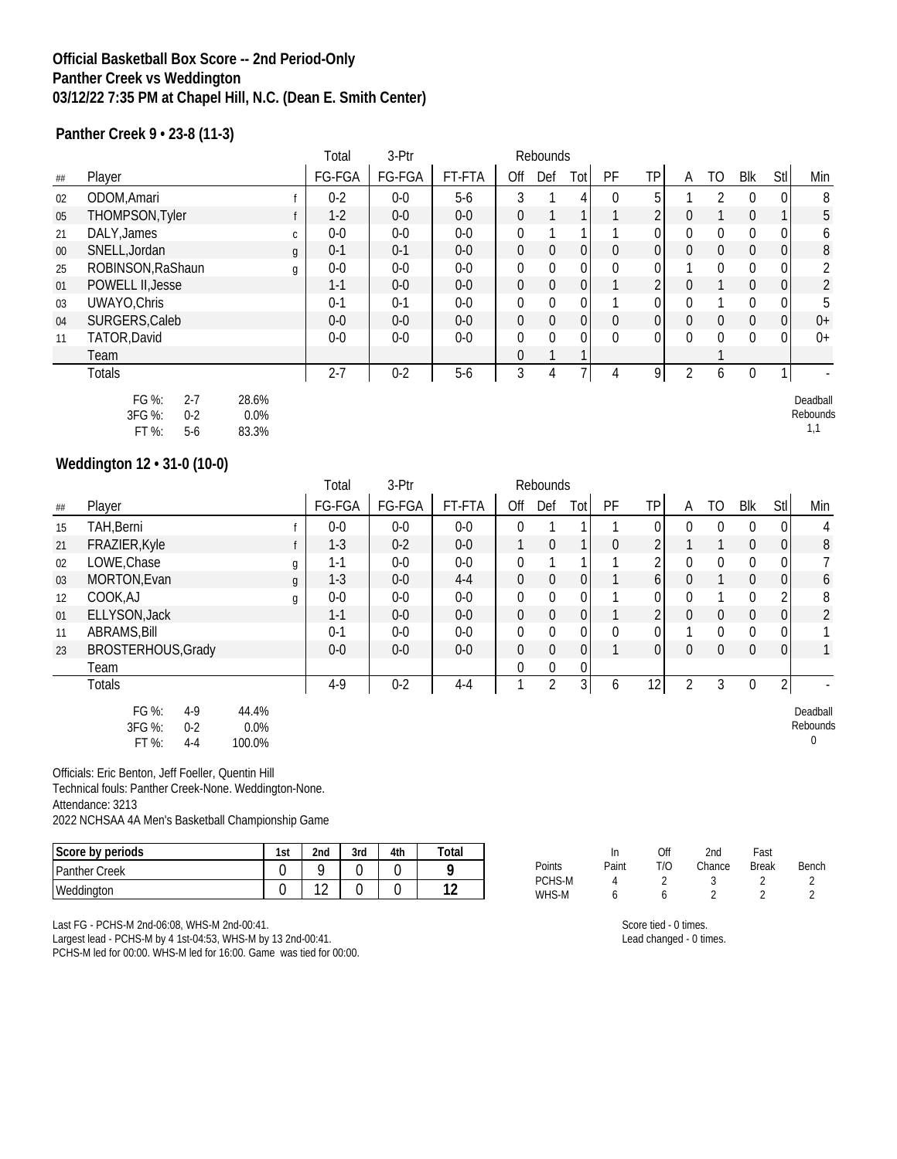#### **Official Basketball Box Score -- 2nd Period-Only Panther Creek vs Weddington 03/12/22 7:35 PM at Chapel Hill, N.C. (Dean E. Smith Center)**

**Panther Creek 9 • 23-8 (11-3)**

|        |                                                         |                        | Total   | 3-Ptr   |        |                | Rebounds     |                |              |                |          |              |          |                  |                             |
|--------|---------------------------------------------------------|------------------------|---------|---------|--------|----------------|--------------|----------------|--------------|----------------|----------|--------------|----------|------------------|-----------------------------|
| ##     | Player                                                  |                        | FG-FGA  | FG-FGA  | FT-FTA | Off            | Def          | Tot            | PF           | ТP             | A        | TO           | Blk      | Stl              | Min                         |
| 02     | ODOM, Amari                                             |                        | $0-2$   | $0-0$   | $5-6$  | 3              |              | 4              | $\Omega$     | 5              |          | 2            |          | 0                | 8                           |
| 05     | THOMPSON, Tyler                                         |                        | $1-2$   | $0-0$   | $0-0$  | $\Omega$       |              |                |              | 2              | $\Omega$ |              | $\Omega$ | 1                | 5                           |
| 21     | DALY, James                                             | C.                     | $0-0$   | $0-0$   | $0-0$  | $\theta$       |              |                |              |                |          | 0            | 0        | 0                | 6                           |
| $00\,$ | SNELL, Jordan                                           | $\mathfrak{g}$         | $0 - 1$ | $0 - 1$ | $0-0$  | $\Omega$       | $\mathbf 0$  | 0              | $\mathbf{0}$ | $\overline{0}$ | $\Omega$ | $\mathbf{0}$ | $\Omega$ | $\boldsymbol{0}$ | 8                           |
| 25     | ROBINSON, RaShaun                                       | g                      | $0-0$   | $0-0$   | $0-0$  | $\Omega$       | $\mathbf{0}$ | $\Omega$       | $\Omega$     |                |          | 0            |          | 0                | 2                           |
| 01     | POWELL II, Jesse                                        |                        | $1 - 1$ | $0-0$   | $0-0$  | $\overline{0}$ | $\mathbf 0$  | $\overline{0}$ |              | 2              | 0        |              | $\theta$ | $\boldsymbol{0}$ | $\overline{2}$              |
| 03     | UWAYO, Chris                                            |                        | $0 - 1$ | $0 - 1$ | $0-0$  | $\mathbf{0}$   | $\mathbf{0}$ |                |              |                |          |              | $\theta$ | 0                | 5                           |
| 04     | SURGERS, Caleb                                          |                        | $0-0$   | $0-0$   | $0-0$  | $\Omega$       | $\mathbf 0$  | $\overline{0}$ | $\mathbf{0}$ | $\overline{0}$ | $\Omega$ | $\mathbf{0}$ | $\Omega$ | 0                | $0+$                        |
| 11     | TATOR, David                                            |                        | $0-0$   | $0 - 0$ | $0-0$  | $\Omega$       | $\mathbf{0}$ | $\Omega$       | $\Omega$     |                | $\Omega$ | 0            | $\Omega$ | 0                | $0+$                        |
|        | Team                                                    |                        |         |         |        | $\Omega$       |              |                |              |                |          |              |          |                  |                             |
|        | <b>Totals</b>                                           |                        | $2 - 7$ | $0 - 2$ | $5-6$  | 3              | 4            |                | 4            | 9 <sub>1</sub> | 2        | 6            | $\theta$ | 1                |                             |
|        | FG %:<br>$2 - 7$<br>3FG %:<br>$0 - 2$<br>FT %:<br>$5-6$ | 28.6%<br>0.0%<br>83.3% |         |         |        |                |              |                |              |                |          |              |          |                  | Deadball<br>Rebounds<br>1,1 |

### **Weddington 12 • 31-0 (10-0)**

|    |                                                         |                            | Total   | 3-Ptr   |         |                | Rebounds     |              |              |                 |                |                |                  |                |                           |
|----|---------------------------------------------------------|----------------------------|---------|---------|---------|----------------|--------------|--------------|--------------|-----------------|----------------|----------------|------------------|----------------|---------------------------|
| ## | Player                                                  |                            | FG-FGA  | FG-FGA  | FT-FTA  | Off            | Def          | Totl         | PF           | TP <sub>I</sub> | A              | TO             | Blk              | <b>Stl</b>     | Min                       |
| 15 | TAH, Berni                                              |                            | $0-0$   | $0-0$   | $0-0$   | $\mathbf{0}$   |              |              |              | 0               | $\Omega$       | $\mathbf{0}$   | $\mathbf 0$      | $\Omega$       | 4                         |
| 21 | FRAZIER, Kyle                                           |                            | $1 - 3$ | $0 - 2$ | $0-0$   |                | $\mathbf{0}$ |              | $\mathbf{0}$ | C               |                |                | $\overline{0}$   | $\overline{0}$ | 8                         |
| 02 | LOWE, Chase                                             | g                          | $1-1$   | $0-0$   | $0-0$   | $\bf{0}$       |              |              |              |                 | $\mathbf{0}$   | $\mathbf 0$    | $\mathbf{0}$     | $\overline{0}$ |                           |
| 03 | MORTON, Evan                                            | g                          | $1 - 3$ | $0-0$   | $4 - 4$ | $\overline{0}$ | $\mathbf 0$  | $\mathbf{0}$ |              | 6 <sup>1</sup>  | $\Omega$       |                | $\overline{0}$   | 0              | $\boldsymbol{6}$          |
| 12 | COOK,AJ                                                 | g                          | $0-0$   | $0-0$   | $0-0$   | $\mathbf 0$    | 0            | $\mathbf{0}$ |              | $\overline{0}$  | $\Omega$       |                | 0                | $\overline{2}$ | 8                         |
| 01 | ELLYSON, Jack                                           |                            | $1 - 1$ | $0-0$   | $0-0$   | $\overline{0}$ | $\mathbf 0$  | 0            |              | $\overline{2}$  | $\Omega$       | $\overline{0}$ | $\overline{0}$   | $\overline{0}$ | $\overline{2}$            |
| 11 | ABRAMS, Bill                                            |                            | $0 - 1$ | $0-0$   | $0-0$   | $\mathbf 0$    | 0            | $\Omega$     | $\mathbf{0}$ |                 |                | $\mathbf{0}$   | $\overline{0}$   | $\Omega$       |                           |
| 23 | <b>BROSTERHOUS, Grady</b>                               |                            | $0-0$   | $0-0$   | $0-0$   | $\overline{0}$ | 0            | $\mathbf 0$  |              | $\overline{0}$  | $\Omega$       | $\overline{0}$ | $\overline{0}$   | 0              |                           |
|    | Team                                                    |                            |         |         |         | $\mathbf{0}$   | $\mathbf 0$  | $\bf{0}$     |              |                 |                |                |                  |                |                           |
|    | <b>Totals</b>                                           |                            | $4-9$   | $0 - 2$ | $4 - 4$ |                | 2            | 3            | 6            | 12 <sub>1</sub> | $\overline{2}$ | 3              | $\boldsymbol{0}$ | $\overline{2}$ |                           |
|    | FG %:<br>$4-9$<br>3FG %:<br>$0 - 2$<br>FT %:<br>$4 - 4$ | 44.4%<br>$0.0\%$<br>100.0% |         |         |         |                |              |              |              |                 |                |                |                  |                | Deadball<br>Rebounds<br>0 |

Officials: Eric Benton, Jeff Foeller, Quentin Hill

Technical fouls: Panther Creek-None. Weddington-None.

Attendance: 3213

2022 NCHSAA 4A Men's Basketball Championship Game

| Score by periods     | 1st | 2nd       | 3rd | 4th | $\tau$ otal          |                 | ın    | Off |
|----------------------|-----|-----------|-----|-----|----------------------|-----------------|-------|-----|
| <b>Panther Creek</b> |     | ∽         |     |     |                      | Points          | Paint | T/O |
| Weddington           |     | 10<br>' 4 |     |     | $\sim$<br>. <u>.</u> | PCHS-M<br>WHS-M |       |     |

Last FG - PCHS-M 2nd-06:08, WHS-M 2nd-00:41.

Largest lead - PCHS-M by 4 1st-04:53, WHS-M by 13 2nd-00:41.

PCHS-M led for 00:00. WHS-M led for 16:00. Game was tied for 00:00.

| Points | Paint | T/O | Chance | <b>Break</b> | Bench |
|--------|-------|-----|--------|--------------|-------|
| PCHS-M |       |     |        |              |       |
| WHS-M  | 6     | 6   |        |              |       |
|        |       |     |        |              |       |

2nd Fast

Score tied - 0 times. Lead changed - 0 times.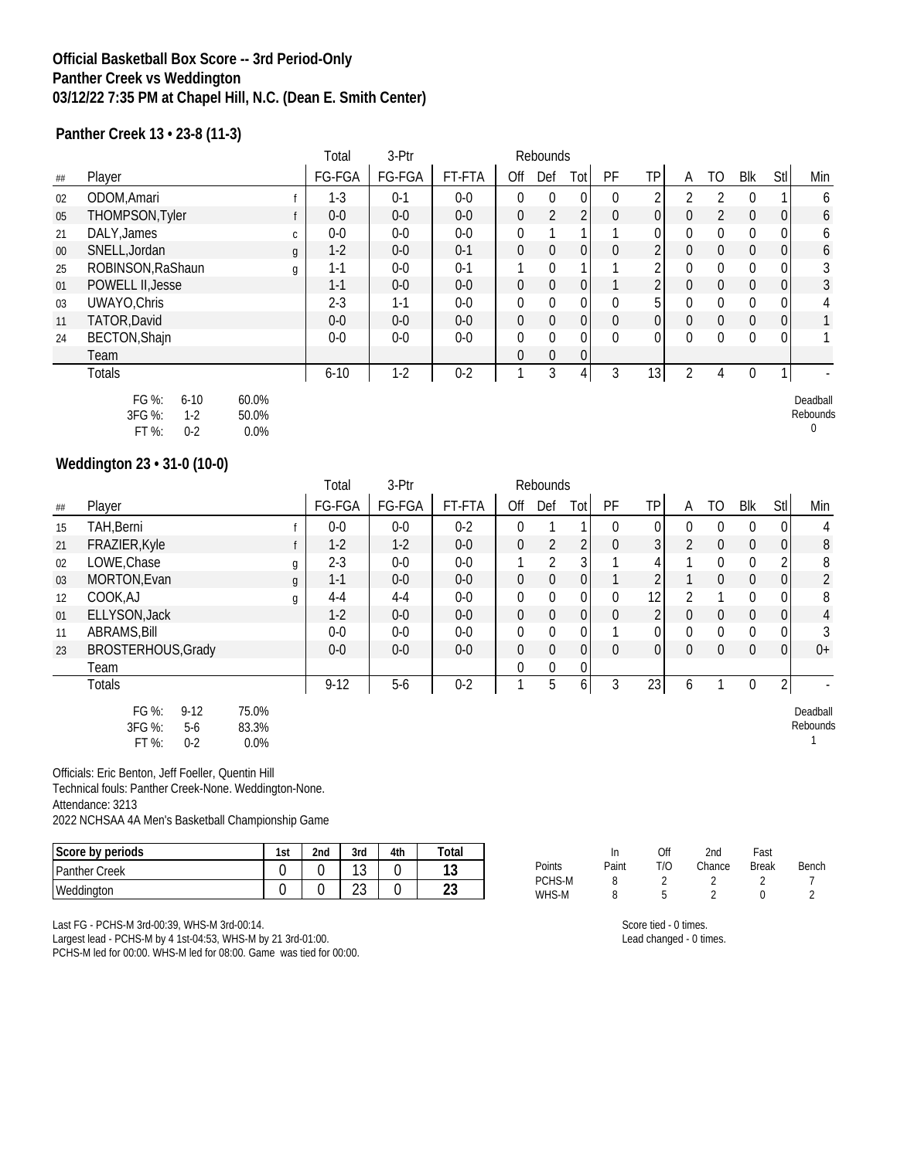#### **Official Basketball Box Score -- 3rd Period-Only Panther Creek vs Weddington 03/12/22 7:35 PM at Chapel Hill, N.C. (Dean E. Smith Center)**

**Panther Creek 13 • 23-8 (11-3)**

|        |                                                          |                        | Total    | 3-Ptr   |         |                | Rebounds       |                 |              |                 |          |    |                |                  |                           |
|--------|----------------------------------------------------------|------------------------|----------|---------|---------|----------------|----------------|-----------------|--------------|-----------------|----------|----|----------------|------------------|---------------------------|
| ##     | Player                                                   |                        | FG-FGA   | FG-FGA  | FT-FTA  | Off            | Def            | Tot             | PF           | ΤP              | A        | TO | Blk            | Stl              | Min                       |
| 02     | ODOM, Amari                                              |                        | $1-3$    | $0 - 1$ | $0-0$   | $\Omega$       | $\overline{0}$ |                 | $\mathbf{0}$ |                 |          |    | $\Omega$       |                  | 6                         |
| 05     | THOMPSON, Tyler                                          |                        | $0-0$    | $0-0$   | $0-0$   | $\mathbf 0$    | $\overline{2}$ |                 | 0            | 0               | $\Omega$ | 2  | $\overline{0}$ | $\boldsymbol{0}$ | 6                         |
| 21     | DALY, James                                              | C.                     | $0-0$    | $0-0$   | $0-0$   | $\mathbf{0}$   |                |                 |              | 0               | $\Omega$ | 0  | $\Omega$       | 0                | 6                         |
| $00\,$ | SNELL, Jordan                                            | g                      | $1-2$    | $0-0$   | $0 - 1$ | $\mathbf 0$    | $\mathbf 0$    | $\vert$ 0       | 0            |                 | $\Omega$ | 0  | $\theta$       | $\boldsymbol{0}$ | 6                         |
| 25     | ROBINSON, RaShaun                                        | g                      | $1 - 1$  | $0-0$   | $0-1$   |                | $\mathbf{0}$   |                 |              |                 | 0        | 0  | $\theta$       | 0                | 3                         |
| 01     | POWELL II, Jesse                                         |                        | $1 - 1$  | $0-0$   | $0-0$   | $\overline{0}$ | 0              | 0               |              |                 | 0        | 0  | $\mathbf{0}$   | $\boldsymbol{0}$ | 3                         |
| 03     | UWAYO, Chris                                             |                        | $2 - 3$  | $1 - 1$ | $0-0$   | $\mathbf{0}$   | $\mathbf{0}$   | $\overline{0}$  | 0            | 5               | $\Omega$ | 0  | $\Omega$       | 0                | 4                         |
| 11     | TATOR, David                                             |                        | $0-0$    | $0-0$   | $0-0$   | $\mathbf 0$    | $\mathbf{0}$   | $\vert 0 \vert$ | $\mathbf{0}$ | 0               | $\Omega$ | 0  | $\theta$       | 0                |                           |
| 24     | <b>BECTON, Shajn</b>                                     |                        | $0-0$    | $0-0$   | $0-0$   | $\mathbf{0}$   | 0              | $\Omega$        | $\Omega$     | 0               | $\Omega$ | 0  | $\theta$       | 0                |                           |
|        | Team                                                     |                        |          |         |         | $\mathbf{0}$   | 0              | $\overline{0}$  |              |                 |          |    |                |                  |                           |
|        | <b>Totals</b>                                            |                        | $6 - 10$ | $1 - 2$ | $0 - 2$ |                | 3              | 4               | 3            | 13 <sub>l</sub> |          | 4  | $\theta$       | 1                |                           |
|        | FG %:<br>$6 - 10$<br>3FG %:<br>$1-2$<br>FT %:<br>$0 - 2$ | 60.0%<br>50.0%<br>0.0% |          |         |         |                |                |                 |              |                 |          |    |                |                  | Deadball<br>Rebounds<br>0 |

|    |                                                          |                        | Total   | 3-Ptr   |         |                  | Rebounds       |                |              |                 |              |                |                |                |                      |
|----|----------------------------------------------------------|------------------------|---------|---------|---------|------------------|----------------|----------------|--------------|-----------------|--------------|----------------|----------------|----------------|----------------------|
| ## | Player                                                   |                        | FG-FGA  | FG-FGA  | FT-FTA  | Off              | Def            | Totl           | PF           | TP <sub>I</sub> | A            | TO             | Blk            | Stl            | Min                  |
| 15 | TAH, Berni                                               |                        | $0-0$   | $0-0$   | $0 - 2$ | $\theta$         |                |                | $\theta$     | 0               | $\Omega$     | $\mathbf{0}$   | $\Omega$       | $\Omega$       | 4                    |
| 21 | FRAZIER, Kyle                                            |                        | $1-2$   | $1-2$   | $0-0$   | $\mathbf 0$      | $\overline{2}$ | $\overline{2}$ | $\mathbf 0$  | 3 <sup>1</sup>  | 2            | $\overline{0}$ | $\overline{0}$ | $\overline{0}$ | $8\,$                |
| 02 | LOWE, Chase                                              | g                      | $2 - 3$ | $0-0$   | $0-0$   |                  | $\overline{2}$ | 3              |              |                 |              | $\mathbf{0}$   | $\mathbf{0}$   | $\overline{2}$ | 8                    |
| 03 | MORTON, Evan                                             | g                      | $1 - 1$ | $0-0$   | $0-0$   | $\mathbf 0$      | $\overline{0}$ | 0              |              |                 |              | $\mathbf 0$    | $\mathbf 0$    | $\overline{0}$ | $\overline{2}$       |
| 12 | COOK,AJ                                                  | g                      | $4 - 4$ | $4 - 4$ | $0-0$   | $\boldsymbol{0}$ | $\mathbf 0$    | 0              | $\mathbf{0}$ | 12 <sub>1</sub> |              |                | $\mathbf{0}$   | $\Omega$       | 8                    |
| 01 | ELLYSON, Jack                                            |                        | $1-2$   | $0-0$   | $0-0$   | $\mathbf 0$      | $\overline{0}$ | $\overline{0}$ | $\mathbf 0$  | 2 <sub>l</sub>  | $\mathbf{0}$ | $\overline{0}$ | $\overline{0}$ | $\overline{0}$ | $\overline{4}$       |
| 11 | ABRAMS, Bill                                             |                        | $0-0$   | $0-0$   | $0-0$   | $\mathbf 0$      | $\bf{0}$       | 0              |              |                 | $\mathbf{0}$ | $\bf{0}$       | $\mathbf{0}$   | $\Omega$       | 3                    |
| 23 | <b>BROSTERHOUS, Grady</b>                                |                        | $0-0$   | $0-0$   | $0-0$   | $\mathbf 0$      | $\overline{0}$ | $\Omega$       | $\mathbf{0}$ | 0               | $\mathbf{0}$ | $\overline{0}$ | $\Omega$       | $\overline{0}$ | $0+$                 |
|    | Team                                                     |                        |         |         |         | $\Omega$         | $\mathbf{0}$   | 0              |              |                 |              |                |                |                |                      |
|    | <b>Totals</b>                                            |                        | $9-12$  | $5-6$   | $0 - 2$ |                  | 5              | 6              | 3            | 23              | 6            |                | $\Omega$       | $\overline{2}$ |                      |
|    | FG %:<br>$9 - 12$<br>3FG %:<br>$5-6$<br>FT %:<br>$0 - 2$ | 75.0%<br>83.3%<br>0.0% |         |         |         |                  |                |                |              |                 |              |                |                |                | Deadball<br>Rebounds |

Officials: Eric Benton, Jeff Foeller, Quentin Hill

Technical fouls: Panther Creek-None. Weddington-None. Attendance: 3213

2022 NCHSAA 4A Men's Basketball Championship Game

| Score by periods     | 1st | 2 <sub>nd</sub> | 3rd          | 4th | `otal    |
|----------------------|-----|-----------------|--------------|-----|----------|
| <b>Panther Creek</b> |     |                 | $\sim$<br>◡  |     | 1 ິ<br>ັ |
| Weddington           |     |                 | $\sim$<br>∠J |     | ີ        |

|  |  | Last FG - PCHS-M 3rd-00:39, WHS-M 3rd-00:14. |  |
|--|--|----------------------------------------------|--|

Largest lead - PCHS-M by 4 1st-04:53, WHS-M by 21 3rd-01:00.

PCHS-M led for 00:00. WHS-M led for 08:00. Game was tied for 00:00.

|        | In    | Off | 2nd    | Fast         |       |
|--------|-------|-----|--------|--------------|-------|
| Points | Paint | T/O | Chance | <b>Break</b> | Bench |
| PCHS-M | 8     |     |        |              |       |
| WHS-M  | 8     | Б   |        |              |       |

Score tied - 0 times. Lead changed - 0 times.